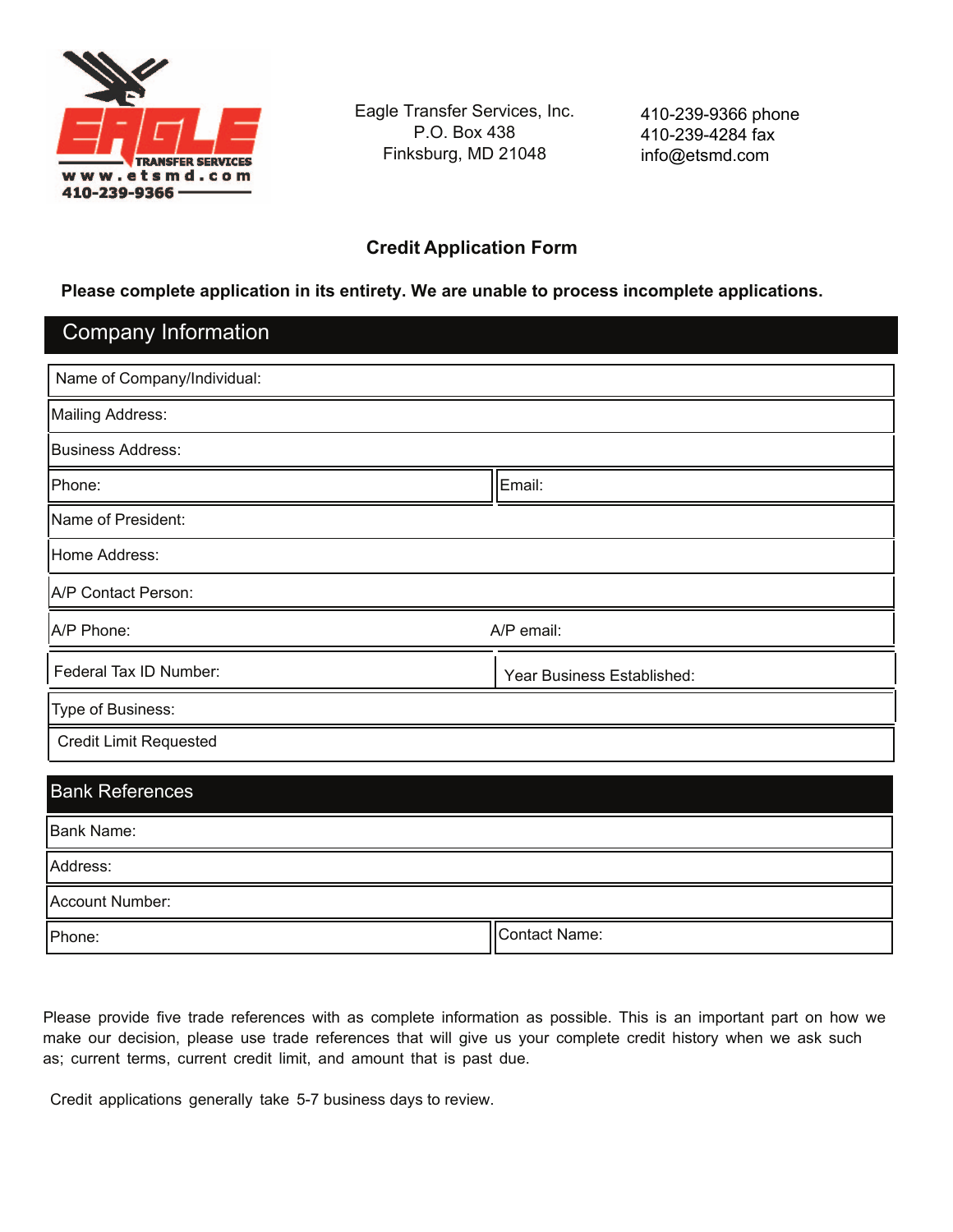

Eagle Transfer Services, Inc. P.O. Box 438 Finksburg, MD 21048

410-239-9366 phone 410-239-4284 fax info@etsmd.com

## **Credit Application Form**

### **Please complete application in its entirety. We are unable to process incomplete applications.**

# Company Information

| Name of Company/Individual:   |                            |  |  |
|-------------------------------|----------------------------|--|--|
| Mailing Address:              |                            |  |  |
| <b>Business Address:</b>      |                            |  |  |
| Phone:                        | Email:                     |  |  |
| Name of President:            |                            |  |  |
| Home Address:                 |                            |  |  |
| A/P Contact Person:           |                            |  |  |
| A/P email:<br>A/P Phone:      |                            |  |  |
| Federal Tax ID Number:        | Year Business Established: |  |  |
| Type of Business:             |                            |  |  |
| <b>Credit Limit Requested</b> |                            |  |  |
|                               |                            |  |  |
| <b>Bank References</b>        |                            |  |  |
| <b>Bank Name:</b>             |                            |  |  |
| Address:                      |                            |  |  |

Account Number:

Phone: Contact Name: Contact Name: Contact Name: Contact Name: Contact Name: Contact Name: Contact Name: Contact Name: Contact Name: Contact Name: Contact Name: Contact Name: Contact Name: Contact Name: Contact Name: Conta

Please provide five trade references with as complete information as possible. This is an important part on how we make our decision, please use trade references that will give us your complete credit history when we ask such as; current terms, current credit limit, and amount that is past due.

Credit applications generally take 5-7 business days to review.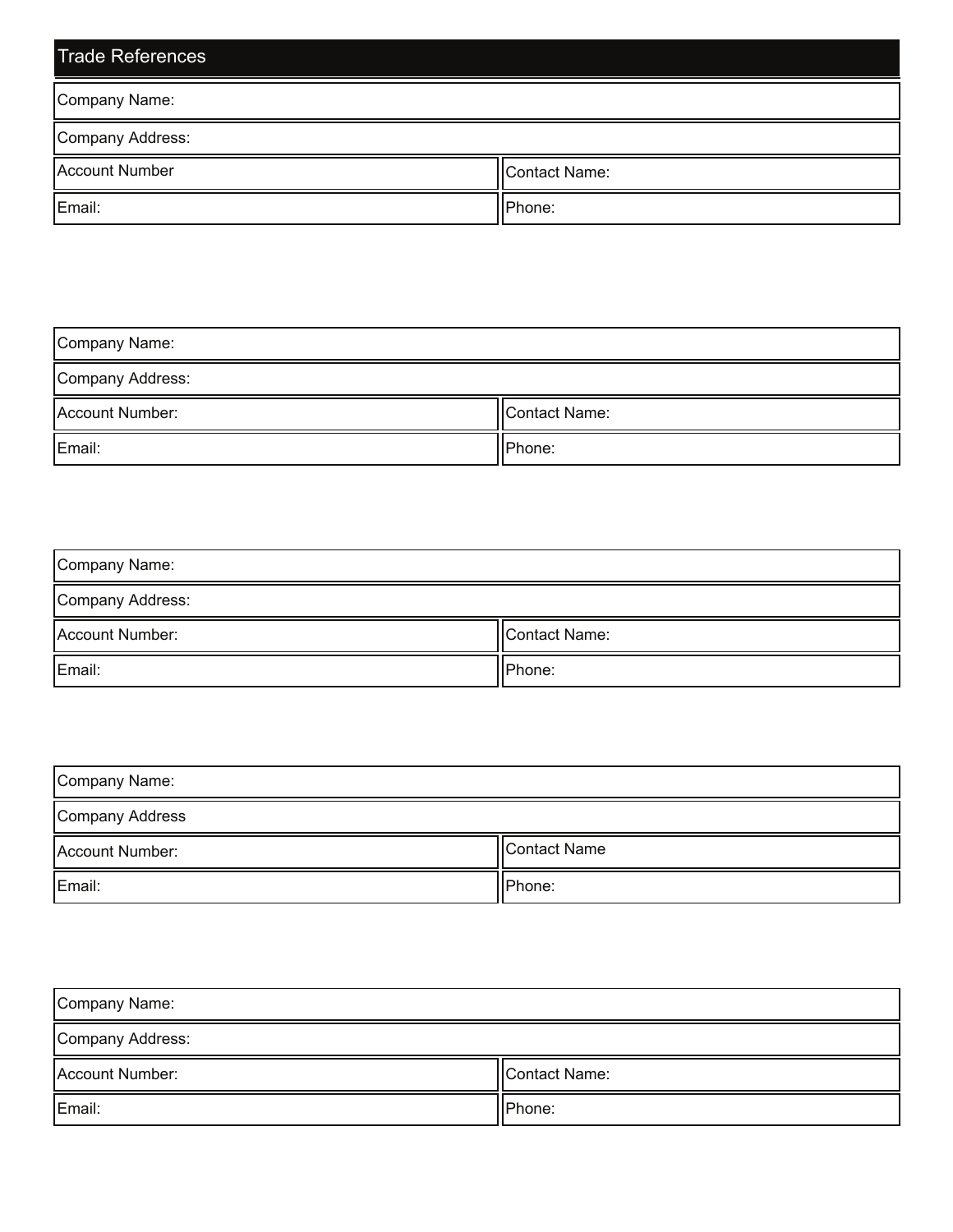| <b>Trade References</b> |               |  |
|-------------------------|---------------|--|
| Company Name:           |               |  |
| Company Address:        |               |  |
| Account Number          | Contact Name: |  |
| Email:                  | Phone:        |  |

| Company Name:     |               |  |
|-------------------|---------------|--|
| Company Address:  |               |  |
| Account Number:   | Contact Name: |  |
| Email:<br>IPhone: |               |  |

| Company Name:    |               |  |
|------------------|---------------|--|
| Company Address: |               |  |
| Account Number:  | Contact Name: |  |
| Email:           | Phone:        |  |

| Company Name:   |              |  |
|-----------------|--------------|--|
| Company Address |              |  |
| Account Number: | Contact Name |  |
| Email:          | Phone:       |  |

| Company Name:    |               |  |
|------------------|---------------|--|
| Company Address: |               |  |
| Account Number:  | Contact Name: |  |
| Email:           | Phone:        |  |